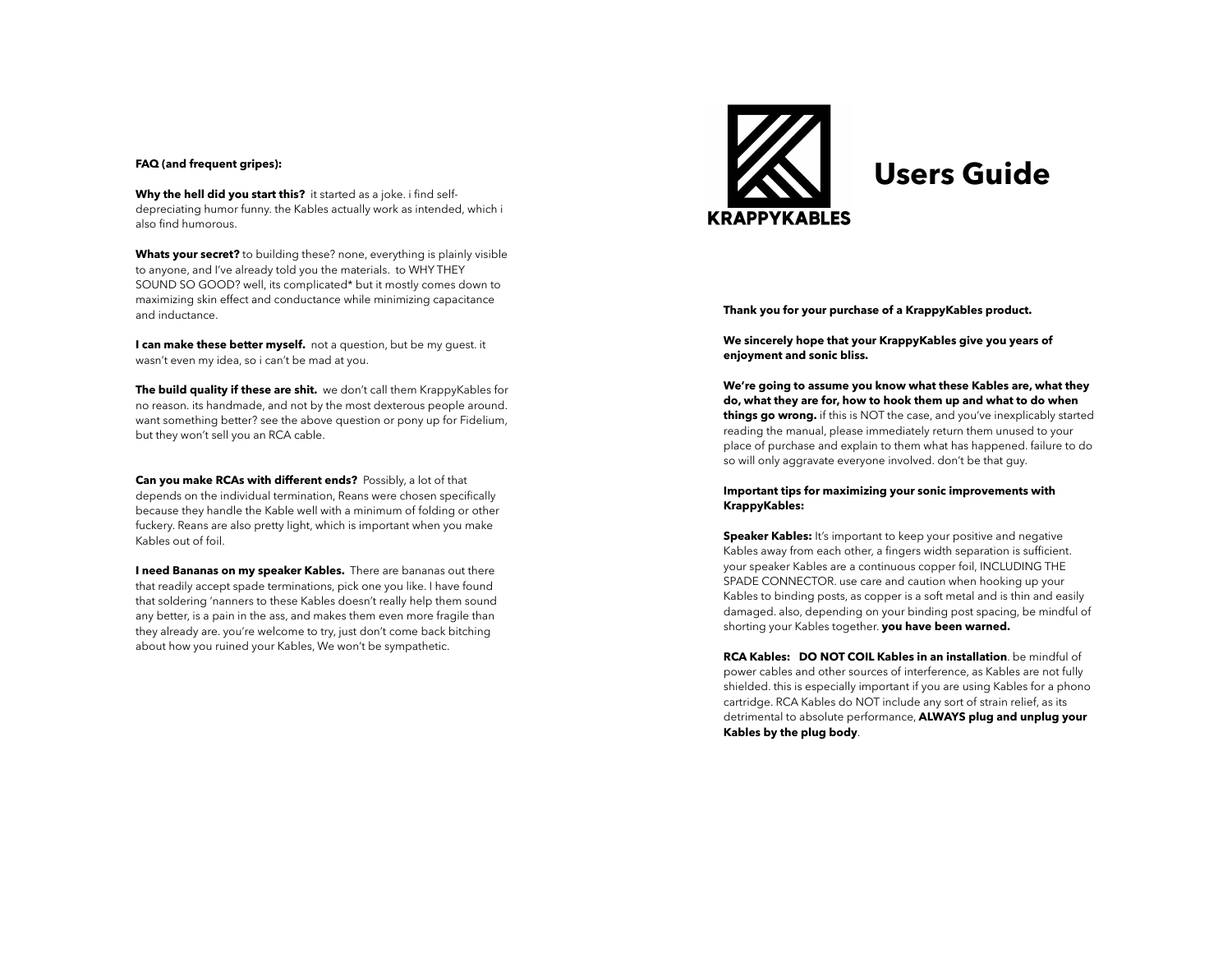Why the hell did you start this? it started as a joke. i find selfdepreciating humor funny. the Kables actually work as intended, which i also find humorous.

**Whats your secret?** to building these? none, everything is plainly visible to anyone, and I've already told you the materials. to WHY THEY SOUND SO GOOD? well, its complicated\* but it mostly comes down to maximizing skin effect and conductance while minimizing capacitance and inductance.

**I can make these better myself.** not a question, but be my guest. it wasn't even my idea, so i can't be mad at you.

**The build quality if these are shit.** we don't call them KrappyKables for no reason. its handmade, and not by the most dexterous people around. want something better? see the above question or pony up for Fidelium, but they won't sell you an RCA cable.

**Can you make RCAs with different ends?** Possibly, a lot of that depends on the individual termination, Reans were chosen specifically because they handle the Kable well with a minimum of folding or other fuckery. Reans are also pretty light, which is important when you make Kables out of foil.

**I need Bananas on my speaker Kables.** There are bananas out there that readily accept spade terminations, pick one you like. I have found that soldering 'nanners to these Kables doesn't really help them sound any better, is a pain in the ass, and makes them even more fragile than they already are. you're welcome to try, just don't come back bitching about how you ruined your Kables, We won't be sympathetic.



**Thank you for your purchase of a KrappyKables product.** 

**We sincerely hope that your KrappyKables give you years of enjoyment and sonic bliss.**

**We're going to assume you know what these Kables are, what they do, what they are for, how to hook them up and what to do when things go wrong.** if this is NOT the case, and you've inexplicably started reading the manual, please immediately return them unused to your place of purchase and explain to them what has happened. failure to do so will only aggravate everyone involved. don't be that guy.

#### **Important tips for maximizing your sonic improvements with KrappyKables:**

**Speaker Kables:** It's important to keep your positive and negative Kables away from each other, a fingers width separation is sufficient. your speaker Kables are a continuous copper foil, INCLUDING THE SPADE CONNECTOR. use care and caution when hooking up your Kables to binding posts, as copper is a soft metal and is thin and easily damaged. also, depending on your binding post spacing, be mindful of shorting your Kables together. **you have been warned.**

**RCA Kables: DO NOT COIL Kables in an installation**. be mindful of power cables and other sources of interference, as Kables are not fully shielded. this is especially important if you are using Kables for a phono cartridge. RCA Kables do NOT include any sort of strain relief, as its detrimental to absolute performance, **ALWAYS plug and unplug your Kables by the plug body**.